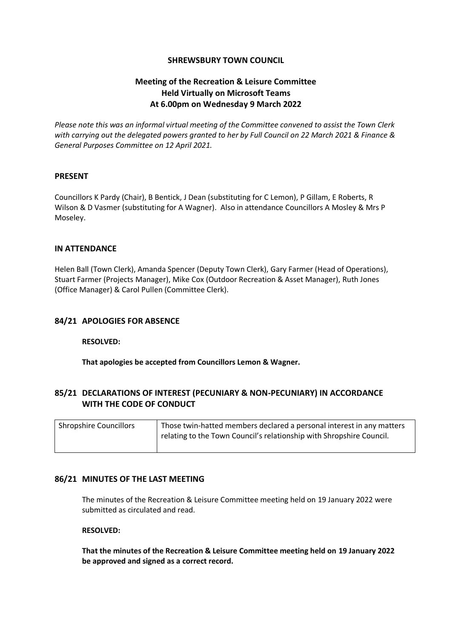# **SHREWSBURY TOWN COUNCIL**

# **Meeting of the Recreation & Leisure Committee Held Virtually on Microsoft Teams At 6.00pm on Wednesday 9 March 2022**

*Please note this was an informal virtual meeting of the Committee convened to assist the Town Clerk with carrying out the delegated powers granted to her by Full Council on 22 March 2021 & Finance & General Purposes Committee on 12 April 2021.*

# **PRESENT**

Councillors K Pardy (Chair), B Bentick, J Dean (substituting for C Lemon), P Gillam, E Roberts, R Wilson & D Vasmer (substituting for A Wagner). Also in attendance Councillors A Mosley & Mrs P Moseley.

#### **IN ATTENDANCE**

Helen Ball (Town Clerk), Amanda Spencer (Deputy Town Clerk), Gary Farmer (Head of Operations), Stuart Farmer (Projects Manager), Mike Cox (Outdoor Recreation & Asset Manager), Ruth Jones (Office Manager) & Carol Pullen (Committee Clerk).

# **84/21 APOLOGIES FOR ABSENCE**

#### **RESOLVED:**

**That apologies be accepted from Councillors Lemon & Wagner.**

# **85/21 DECLARATIONS OF INTEREST (PECUNIARY & NON-PECUNIARY) IN ACCORDANCE WITH THE CODE OF CONDUCT**

| <b>Shropshire Councillors</b> | Those twin-hatted members declared a personal interest in any matters |
|-------------------------------|-----------------------------------------------------------------------|
|                               | relating to the Town Council's relationship with Shropshire Council.  |
|                               |                                                                       |

# **86/21 MINUTES OF THE LAST MEETING**

The minutes of the Recreation & Leisure Committee meeting held on 19 January 2022 were submitted as circulated and read.

#### **RESOLVED:**

**That the minutes of the Recreation & Leisure Committee meeting held on 19 January 2022 be approved and signed as a correct record.**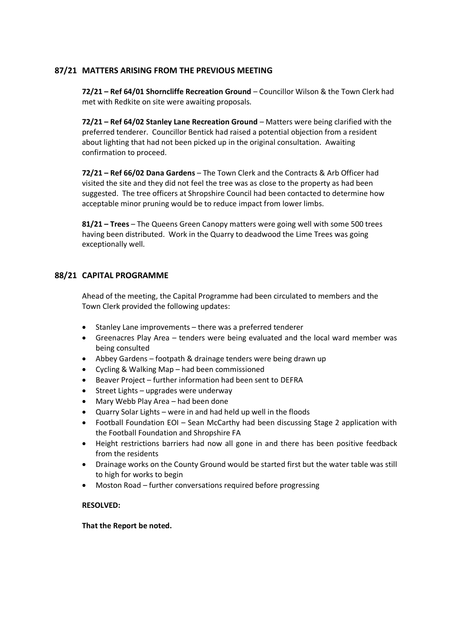# **87/21 MATTERS ARISING FROM THE PREVIOUS MEETING**

**72/21 – Ref 64/01 Shorncliffe Recreation Ground** – Councillor Wilson & the Town Clerk had met with Redkite on site were awaiting proposals.

**72/21 – Ref 64/02 Stanley Lane Recreation Ground** – Matters were being clarified with the preferred tenderer. Councillor Bentick had raised a potential objection from a resident about lighting that had not been picked up in the original consultation. Awaiting confirmation to proceed.

**72/21 – Ref 66/02 Dana Gardens** – The Town Clerk and the Contracts & Arb Officer had visited the site and they did not feel the tree was as close to the property as had been suggested. The tree officers at Shropshire Council had been contacted to determine how acceptable minor pruning would be to reduce impact from lower limbs.

**81/21 – Trees** – The Queens Green Canopy matters were going well with some 500 trees having been distributed. Work in the Quarry to deadwood the Lime Trees was going exceptionally well.

# **88/21 CAPITAL PROGRAMME**

Ahead of the meeting, the Capital Programme had been circulated to members and the Town Clerk provided the following updates:

- Stanley Lane improvements there was a preferred tenderer
- Greenacres Play Area tenders were being evaluated and the local ward member was being consulted
- Abbey Gardens footpath & drainage tenders were being drawn up
- Cycling & Walking Map had been commissioned
- Beaver Project further information had been sent to DEFRA
- Street Lights upgrades were underway
- Mary Webb Play Area had been done
- Quarry Solar Lights were in and had held up well in the floods
- Football Foundation EOI Sean McCarthy had been discussing Stage 2 application with the Football Foundation and Shropshire FA
- Height restrictions barriers had now all gone in and there has been positive feedback from the residents
- Drainage works on the County Ground would be started first but the water table was still to high for works to begin
- Moston Road further conversations required before progressing

#### **RESOLVED:**

**That the Report be noted.**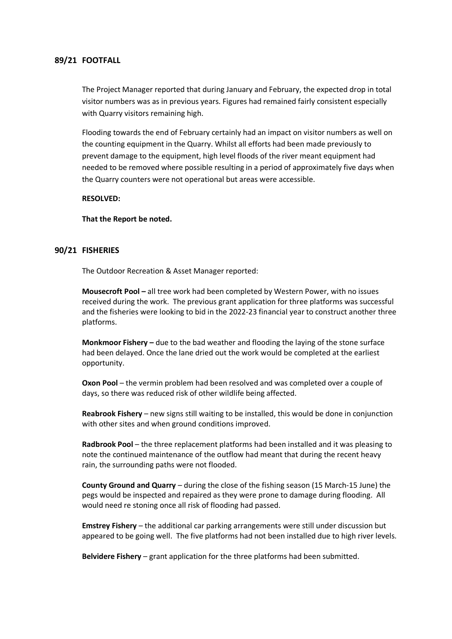# **89/21 FOOTFALL**

The Project Manager reported that during January and February, the expected drop in total visitor numbers was as in previous years. Figures had remained fairly consistent especially with Quarry visitors remaining high.

Flooding towards the end of February certainly had an impact on visitor numbers as well on the counting equipment in the Quarry. Whilst all efforts had been made previously to prevent damage to the equipment, high level floods of the river meant equipment had needed to be removed where possible resulting in a period of approximately five days when the Quarry counters were not operational but areas were accessible.

#### **RESOLVED:**

**That the Report be noted.**

#### **90/21 FISHERIES**

The Outdoor Recreation & Asset Manager reported:

**Mousecroft Pool –** all tree work had been completed by Western Power, with no issues received during the work. The previous grant application for three platforms was successful and the fisheries were looking to bid in the 2022-23 financial year to construct another three platforms.

**Monkmoor Fishery –** due to the bad weather and flooding the laying of the stone surface had been delayed. Once the lane dried out the work would be completed at the earliest opportunity.

**Oxon Pool** – the vermin problem had been resolved and was completed over a couple of days, so there was reduced risk of other wildlife being affected.

**Reabrook Fishery** – new signs still waiting to be installed, this would be done in conjunction with other sites and when ground conditions improved.

**Radbrook Pool** – the three replacement platforms had been installed and it was pleasing to note the continued maintenance of the outflow had meant that during the recent heavy rain, the surrounding paths were not flooded.

**County Ground and Quarry** – during the close of the fishing season (15 March-15 June) the pegs would be inspected and repaired as they were prone to damage during flooding. All would need re stoning once all risk of flooding had passed.

**Emstrey Fishery** – the additional car parking arrangements were still under discussion but appeared to be going well. The five platforms had not been installed due to high river levels.

**Belvidere Fishery** – grant application for the three platforms had been submitted.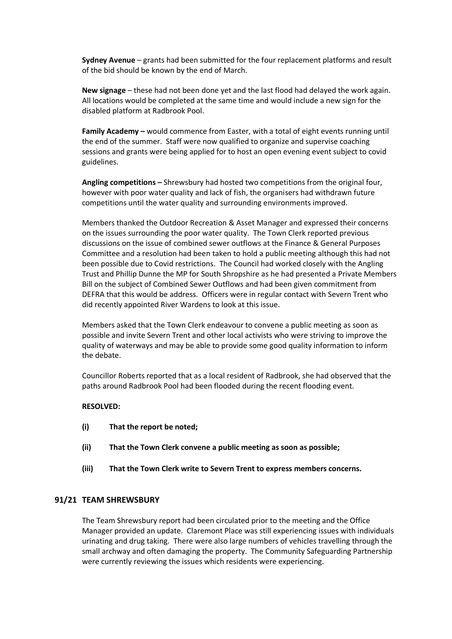**Sydney Avenue** – grants had been submitted for the four replacement platforms and result of the bid should be known by the end of March.

**New signage** – these had not been done yet and the last flood had delayed the work again. All locations would be completed at the same time and would include a new sign for the disabled platform at Radbrook Pool.

**Family Academy –** would commence from Easter, with a total of eight events running until the end of the summer. Staff were now qualified to organize and supervise coaching sessions and grants were being applied for to host an open evening event subject to covid guidelines.

**Angling competitions –** Shrewsbury had hosted two competitions from the original four, however with poor water quality and lack of fish, the organisers had withdrawn future competitions until the water quality and surrounding environments improved.

Members thanked the Outdoor Recreation & Asset Manager and expressed their concerns on the issues surrounding the poor water quality. The Town Clerk reported previous discussions on the issue of combined sewer outflows at the Finance & General Purposes Committee and a resolution had been taken to hold a public meeting although this had not been possible due to Covid restrictions. The Council had worked closely with the Angling Trust and Phillip Dunne the MP for South Shropshire as he had presented a Private Members Bill on the subject of Combined Sewer Outflows and had been given commitment from DEFRA that this would be address. Officers were in regular contact with Severn Trent who did recently appointed River Wardens to look at this issue.

Members asked that the Town Clerk endeavour to convene a public meeting as soon as possible and invite Severn Trent and other local activists who were striving to improve the quality of waterways and may be able to provide some good quality information to inform the debate.

Councillor Roberts reported that as a local resident of Radbrook, she had observed that the paths around Radbrook Pool had been flooded during the recent flooding event.

# **RESOLVED:**

- **(i) That the report be noted;**
- **(ii) That the Town Clerk convene a public meeting as soon as possible;**
- **(iii) That the Town Clerk write to Severn Trent to express members concerns.**

#### **91/21 TEAM SHREWSBURY**

The Team Shrewsbury report had been circulated prior to the meeting and the Office Manager provided an update. Claremont Place was still experiencing issues with individuals urinating and drug taking. There were also large numbers of vehicles travelling through the small archway and often damaging the property. The Community Safeguarding Partnership were currently reviewing the issues which residents were experiencing.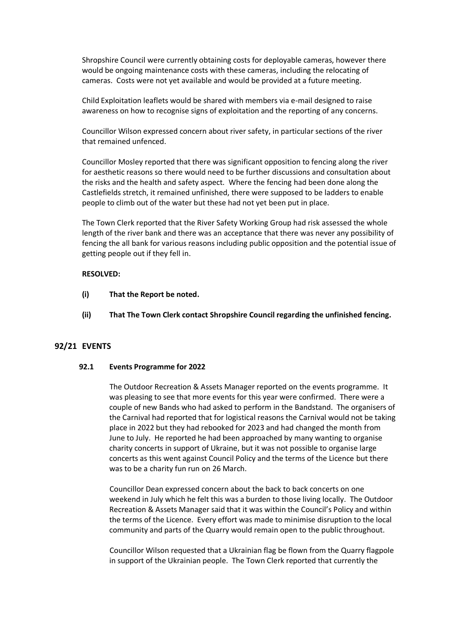Shropshire Council were currently obtaining costs for deployable cameras, however there would be ongoing maintenance costs with these cameras, including the relocating of cameras. Costs were not yet available and would be provided at a future meeting.

Child Exploitation leaflets would be shared with members via e-mail designed to raise awareness on how to recognise signs of exploitation and the reporting of any concerns.

Councillor Wilson expressed concern about river safety, in particular sections of the river that remained unfenced.

Councillor Mosley reported that there was significant opposition to fencing along the river for aesthetic reasons so there would need to be further discussions and consultation about the risks and the health and safety aspect. Where the fencing had been done along the Castlefields stretch, it remained unfinished, there were supposed to be ladders to enable people to climb out of the water but these had not yet been put in place.

The Town Clerk reported that the River Safety Working Group had risk assessed the whole length of the river bank and there was an acceptance that there was never any possibility of fencing the all bank for various reasons including public opposition and the potential issue of getting people out if they fell in.

#### **RESOLVED:**

- **(i) That the Report be noted.**
- **(ii) That The Town Clerk contact Shropshire Council regarding the unfinished fencing.**

# **92/21 EVENTS**

#### **92.1 Events Programme for 2022**

The Outdoor Recreation & Assets Manager reported on the events programme. It was pleasing to see that more events for this year were confirmed. There were a couple of new Bands who had asked to perform in the Bandstand. The organisers of the Carnival had reported that for logistical reasons the Carnival would not be taking place in 2022 but they had rebooked for 2023 and had changed the month from June to July. He reported he had been approached by many wanting to organise charity concerts in support of Ukraine, but it was not possible to organise large concerts as this went against Council Policy and the terms of the Licence but there was to be a charity fun run on 26 March.

Councillor Dean expressed concern about the back to back concerts on one weekend in July which he felt this was a burden to those living locally. The Outdoor Recreation & Assets Manager said that it was within the Council's Policy and within the terms of the Licence. Every effort was made to minimise disruption to the local community and parts of the Quarry would remain open to the public throughout.

Councillor Wilson requested that a Ukrainian flag be flown from the Quarry flagpole in support of the Ukrainian people. The Town Clerk reported that currently the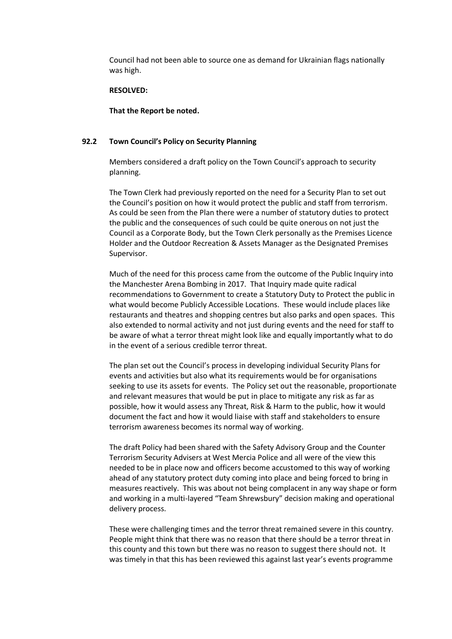Council had not been able to source one as demand for Ukrainian flags nationally was high.

#### **RESOLVED:**

**That the Report be noted.**

#### **92.2 Town Council's Policy on Security Planning**

Members considered a draft policy on the Town Council's approach to security planning.

The Town Clerk had previously reported on the need for a Security Plan to set out the Council's position on how it would protect the public and staff from terrorism. As could be seen from the Plan there were a number of statutory duties to protect the public and the consequences of such could be quite onerous on not just the Council as a Corporate Body, but the Town Clerk personally as the Premises Licence Holder and the Outdoor Recreation & Assets Manager as the Designated Premises Supervisor.

Much of the need for this process came from the outcome of the Public Inquiry into the Manchester Arena Bombing in 2017. That Inquiry made quite radical recommendations to Government to create a Statutory Duty to Protect the public in what would become Publicly Accessible Locations. These would include places like restaurants and theatres and shopping centres but also parks and open spaces. This also extended to normal activity and not just during events and the need for staff to be aware of what a terror threat might look like and equally importantly what to do in the event of a serious credible terror threat.

The plan set out the Council's process in developing individual Security Plans for events and activities but also what its requirements would be for organisations seeking to use its assets for events. The Policy set out the reasonable, proportionate and relevant measures that would be put in place to mitigate any risk as far as possible, how it would assess any Threat, Risk & Harm to the public, how it would document the fact and how it would liaise with staff and stakeholders to ensure terrorism awareness becomes its normal way of working.

The draft Policy had been shared with the Safety Advisory Group and the Counter Terrorism Security Advisers at West Mercia Police and all were of the view this needed to be in place now and officers become accustomed to this way of working ahead of any statutory protect duty coming into place and being forced to bring in measures reactively. This was about not being complacent in any way shape or form and working in a multi-layered "Team Shrewsbury" decision making and operational delivery process.

These were challenging times and the terror threat remained severe in this country. People might think that there was no reason that there should be a terror threat in this county and this town but there was no reason to suggest there should not. It was timely in that this has been reviewed this against last year's events programme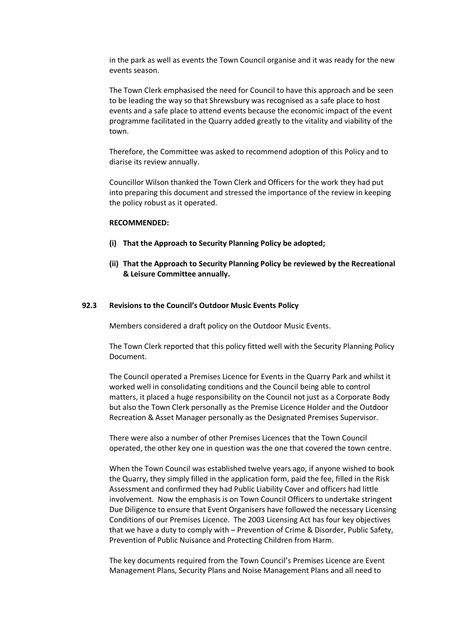in the park as well as events the Town Council organise and it was ready for the new events season.

The Town Clerk emphasised the need for Council to have this approach and be seen to be leading the way so that Shrewsbury was recognised as a safe place to host events and a safe place to attend events because the economic impact of the event programme facilitated in the Quarry added greatly to the vitality and viability of the town.

Therefore, the Committee was asked to recommend adoption of this Policy and to diarise its review annually.

Councillor Wilson thanked the Town Clerk and Officers for the work they had put into preparing this document and stressed the importance of the review in keeping the policy robust as it operated.

#### **RECOMMENDED:**

- **(i) That the Approach to Security Planning Policy be adopted;**
- **(ii) That the Approach to Security Planning Policy be reviewed by the Recreational & Leisure Committee annually.**

#### **92.3 Revisions to the Council's Outdoor Music Events Policy**

Members considered a draft policy on the Outdoor Music Events.

The Town Clerk reported that this policy fitted well with the Security Planning Policy Document.

The Council operated a Premises Licence for Events in the Quarry Park and whilst it worked well in consolidating conditions and the Council being able to control matters, it placed a huge responsibility on the Council not just as a Corporate Body but also the Town Clerk personally as the Premise Licence Holder and the Outdoor Recreation & Asset Manager personally as the Designated Premises Supervisor.

There were also a number of other Premises Licences that the Town Council operated, the other key one in question was the one that covered the town centre.

When the Town Council was established twelve years ago, if anyone wished to book the Quarry, they simply filled in the application form, paid the fee, filled in the Risk Assessment and confirmed they had Public Liability Cover and officers had little involvement. Now the emphasis is on Town Council Officers to undertake stringent Due Diligence to ensure that Event Organisers have followed the necessary Licensing Conditions of our Premises Licence. The 2003 Licensing Act has four key objectives that we have a duty to comply with – Prevention of Crime & Disorder, Public Safety, Prevention of Public Nuisance and Protecting Children from Harm.

The key documents required from the Town Council's Premises Licence are Event Management Plans, Security Plans and Noise Management Plans and all need to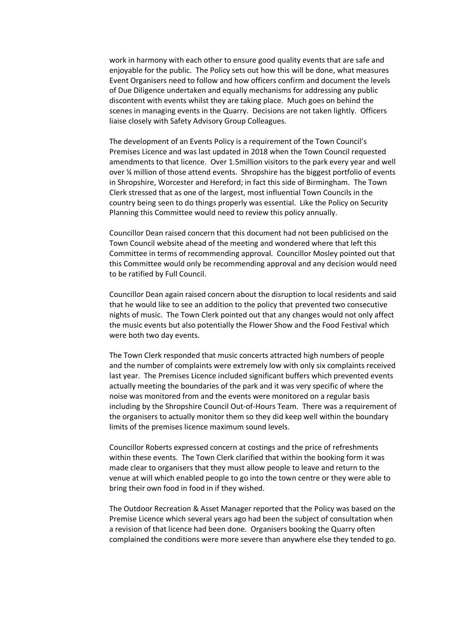work in harmony with each other to ensure good quality events that are safe and enjoyable for the public. The Policy sets out how this will be done, what measures Event Organisers need to follow and how officers confirm and document the levels of Due Diligence undertaken and equally mechanisms for addressing any public discontent with events whilst they are taking place. Much goes on behind the scenes in managing events in the Quarry. Decisions are not taken lightly. Officers liaise closely with Safety Advisory Group Colleagues.

The development of an Events Policy is a requirement of the Town Council's Premises Licence and was last updated in 2018 when the Town Council requested amendments to that licence. Over 1.5million visitors to the park every year and well over ¼ million of those attend events. Shropshire has the biggest portfolio of events in Shropshire, Worcester and Hereford; in fact this side of Birmingham. The Town Clerk stressed that as one of the largest, most influential Town Councils in the country being seen to do things properly was essential. Like the Policy on Security Planning this Committee would need to review this policy annually.

Councillor Dean raised concern that this document had not been publicised on the Town Council website ahead of the meeting and wondered where that left this Committee in terms of recommending approval. Councillor Mosley pointed out that this Committee would only be recommending approval and any decision would need to be ratified by Full Council.

Councillor Dean again raised concern about the disruption to local residents and said that he would like to see an addition to the policy that prevented two consecutive nights of music. The Town Clerk pointed out that any changes would not only affect the music events but also potentially the Flower Show and the Food Festival which were both two day events.

The Town Clerk responded that music concerts attracted high numbers of people and the number of complaints were extremely low with only six complaints received last year. The Premises Licence included significant buffers which prevented events actually meeting the boundaries of the park and it was very specific of where the noise was monitored from and the events were monitored on a regular basis including by the Shropshire Council Out-of-Hours Team. There was a requirement of the organisers to actually monitor them so they did keep well within the boundary limits of the premises licence maximum sound levels.

Councillor Roberts expressed concern at costings and the price of refreshments within these events. The Town Clerk clarified that within the booking form it was made clear to organisers that they must allow people to leave and return to the venue at will which enabled people to go into the town centre or they were able to bring their own food in food in if they wished.

The Outdoor Recreation & Asset Manager reported that the Policy was based on the Premise Licence which several years ago had been the subject of consultation when a revision of that licence had been done. Organisers booking the Quarry often complained the conditions were more severe than anywhere else they tended to go.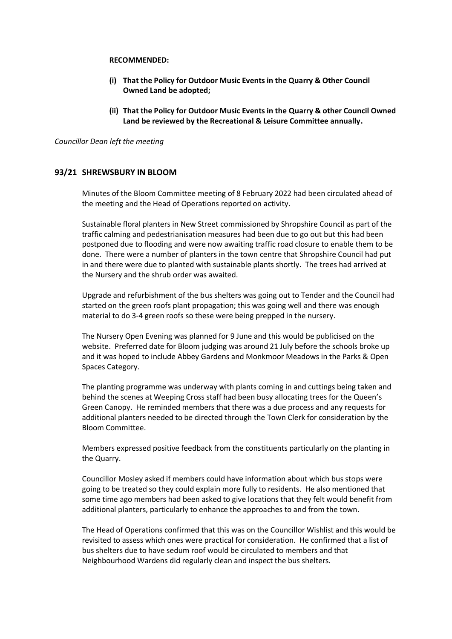#### **RECOMMENDED:**

- **(i) That the Policy for Outdoor Music Events in the Quarry & Other Council Owned Land be adopted;**
- **(ii) That the Policy for Outdoor Music Events in the Quarry & other Council Owned Land be reviewed by the Recreational & Leisure Committee annually.**

#### *Councillor Dean left the meeting*

# **93/21 SHREWSBURY IN BLOOM**

Minutes of the Bloom Committee meeting of 8 February 2022 had been circulated ahead of the meeting and the Head of Operations reported on activity.

Sustainable floral planters in New Street commissioned by Shropshire Council as part of the traffic calming and pedestrianisation measures had been due to go out but this had been postponed due to flooding and were now awaiting traffic road closure to enable them to be done. There were a number of planters in the town centre that Shropshire Council had put in and there were due to planted with sustainable plants shortly. The trees had arrived at the Nursery and the shrub order was awaited.

Upgrade and refurbishment of the bus shelters was going out to Tender and the Council had started on the green roofs plant propagation; this was going well and there was enough material to do 3-4 green roofs so these were being prepped in the nursery.

The Nursery Open Evening was planned for 9 June and this would be publicised on the website. Preferred date for Bloom judging was around 21 July before the schools broke up and it was hoped to include Abbey Gardens and Monkmoor Meadows in the Parks & Open Spaces Category.

The planting programme was underway with plants coming in and cuttings being taken and behind the scenes at Weeping Cross staff had been busy allocating trees for the Queen's Green Canopy. He reminded members that there was a due process and any requests for additional planters needed to be directed through the Town Clerk for consideration by the Bloom Committee.

Members expressed positive feedback from the constituents particularly on the planting in the Quarry.

Councillor Mosley asked if members could have information about which bus stops were going to be treated so they could explain more fully to residents. He also mentioned that some time ago members had been asked to give locations that they felt would benefit from additional planters, particularly to enhance the approaches to and from the town.

The Head of Operations confirmed that this was on the Councillor Wishlist and this would be revisited to assess which ones were practical for consideration. He confirmed that a list of bus shelters due to have sedum roof would be circulated to members and that Neighbourhood Wardens did regularly clean and inspect the bus shelters.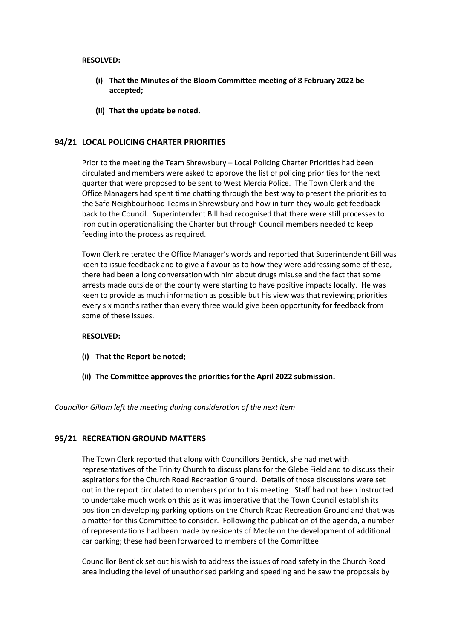#### **RESOLVED:**

- **(i) That the Minutes of the Bloom Committee meeting of 8 February 2022 be accepted;**
- **(ii) That the update be noted.**

# **94/21 LOCAL POLICING CHARTER PRIORITIES**

Prior to the meeting the Team Shrewsbury – Local Policing Charter Priorities had been circulated and members were asked to approve the list of policing priorities for the next quarter that were proposed to be sent to West Mercia Police. The Town Clerk and the Office Managers had spent time chatting through the best way to present the priorities to the Safe Neighbourhood Teams in Shrewsbury and how in turn they would get feedback back to the Council. Superintendent Bill had recognised that there were still processes to iron out in operationalising the Charter but through Council members needed to keep feeding into the process as required.

Town Clerk reiterated the Office Manager's words and reported that Superintendent Bill was keen to issue feedback and to give a flavour as to how they were addressing some of these, there had been a long conversation with him about drugs misuse and the fact that some arrests made outside of the county were starting to have positive impacts locally. He was keen to provide as much information as possible but his view was that reviewing priorities every six months rather than every three would give been opportunity for feedback from some of these issues.

# **RESOLVED:**

- **(i) That the Report be noted;**
- **(ii) The Committee approves the priorities for the April 2022 submission.**

*Councillor Gillam left the meeting during consideration of the next item*

# **95/21 RECREATION GROUND MATTERS**

The Town Clerk reported that along with Councillors Bentick, she had met with representatives of the Trinity Church to discuss plans for the Glebe Field and to discuss their aspirations for the Church Road Recreation Ground. Details of those discussions were set out in the report circulated to members prior to this meeting. Staff had not been instructed to undertake much work on this as it was imperative that the Town Council establish its position on developing parking options on the Church Road Recreation Ground and that was a matter for this Committee to consider. Following the publication of the agenda, a number of representations had been made by residents of Meole on the development of additional car parking; these had been forwarded to members of the Committee.

Councillor Bentick set out his wish to address the issues of road safety in the Church Road area including the level of unauthorised parking and speeding and he saw the proposals by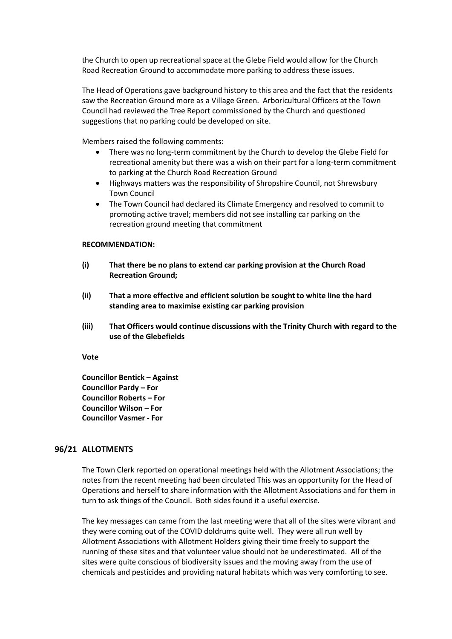the Church to open up recreational space at the Glebe Field would allow for the Church Road Recreation Ground to accommodate more parking to address these issues.

The Head of Operations gave background history to this area and the fact that the residents saw the Recreation Ground more as a Village Green. Arboricultural Officers at the Town Council had reviewed the Tree Report commissioned by the Church and questioned suggestions that no parking could be developed on site.

Members raised the following comments:

- There was no long-term commitment by the Church to develop the Glebe Field for recreational amenity but there was a wish on their part for a long-term commitment to parking at the Church Road Recreation Ground
- Highways matters was the responsibility of Shropshire Council, not Shrewsbury Town Council
- The Town Council had declared its Climate Emergency and resolved to commit to promoting active travel; members did not see installing car parking on the recreation ground meeting that commitment

#### **RECOMMENDATION:**

- **(i) That there be no plans to extend car parking provision at the Church Road Recreation Ground;**
- **(ii) That a more effective and efficient solution be sought to white line the hard standing area to maximise existing car parking provision**
- **(iii) That Officers would continue discussions with the Trinity Church with regard to the use of the Glebefields**

**Vote**

**Councillor Bentick – Against Councillor Pardy – For Councillor Roberts – For Councillor Wilson – For Councillor Vasmer - For**

# **96/21 ALLOTMENTS**

The Town Clerk reported on operational meetings held with the Allotment Associations; the notes from the recent meeting had been circulated This was an opportunity for the Head of Operations and herself to share information with the Allotment Associations and for them in turn to ask things of the Council. Both sides found it a useful exercise.

The key messages can came from the last meeting were that all of the sites were vibrant and they were coming out of the COVID doldrums quite well. They were all run well by Allotment Associations with Allotment Holders giving their time freely to support the running of these sites and that volunteer value should not be underestimated. All of the sites were quite conscious of biodiversity issues and the moving away from the use of chemicals and pesticides and providing natural habitats which was very comforting to see.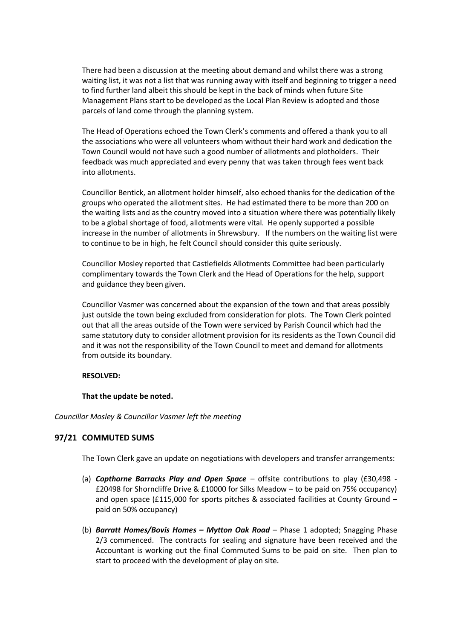There had been a discussion at the meeting about demand and whilst there was a strong waiting list, it was not a list that was running away with itself and beginning to trigger a need to find further land albeit this should be kept in the back of minds when future Site Management Plans start to be developed as the Local Plan Review is adopted and those parcels of land come through the planning system.

The Head of Operations echoed the Town Clerk's comments and offered a thank you to all the associations who were all volunteers whom without their hard work and dedication the Town Council would not have such a good number of allotments and plotholders. Their feedback was much appreciated and every penny that was taken through fees went back into allotments.

Councillor Bentick, an allotment holder himself, also echoed thanks for the dedication of the groups who operated the allotment sites. He had estimated there to be more than 200 on the waiting lists and as the country moved into a situation where there was potentially likely to be a global shortage of food, allotments were vital. He openly supported a possible increase in the number of allotments in Shrewsbury. If the numbers on the waiting list were to continue to be in high, he felt Council should consider this quite seriously.

Councillor Mosley reported that Castlefields Allotments Committee had been particularly complimentary towards the Town Clerk and the Head of Operations for the help, support and guidance they been given.

Councillor Vasmer was concerned about the expansion of the town and that areas possibly just outside the town being excluded from consideration for plots. The Town Clerk pointed out that all the areas outside of the Town were serviced by Parish Council which had the same statutory duty to consider allotment provision for its residents as the Town Council did and it was not the responsibility of the Town Council to meet and demand for allotments from outside its boundary.

# **RESOLVED:**

# **That the update be noted.**

# *Councillor Mosley & Councillor Vasmer left the meeting*

# **97/21 COMMUTED SUMS**

The Town Clerk gave an update on negotiations with developers and transfer arrangements:

- (a) *Copthorne Barracks Play and Open Space* offsite contributions to play (£30,498 £20498 for Shorncliffe Drive & £10000 for Silks Meadow – to be paid on 75% occupancy) and open space (£115,000 for sports pitches & associated facilities at County Ground – paid on 50% occupancy)
- (b) *Barratt Homes/Bovis Homes – Mytton Oak Road* Phase 1 adopted; Snagging Phase 2/3 commenced. The contracts for sealing and signature have been received and the Accountant is working out the final Commuted Sums to be paid on site. Then plan to start to proceed with the development of play on site.